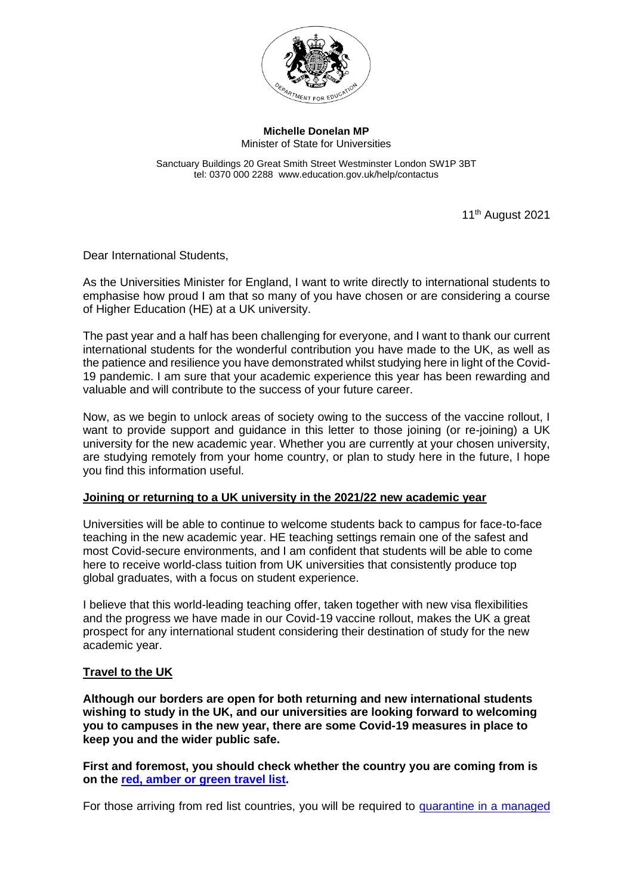

**Michelle Donelan MP** Minister of State for Universities

Sanctuary Buildings 20 Great Smith Street Westminster London SW1P 3BT tel: 0370 000 2288 www.education.gov.uk/help/contactus

11<sup>th</sup> August 2021

Dear International Students,

As the Universities Minister for England, I want to write directly to international students to emphasise how proud I am that so many of you have chosen or are considering a course of Higher Education (HE) at a UK university.

The past year and a half has been challenging for everyone, and I want to thank our current international students for the wonderful contribution you have made to the UK, as well as the patience and resilience you have demonstrated whilst studying here in light of the Covid-19 pandemic. I am sure that your academic experience this year has been rewarding and valuable and will contribute to the success of your future career.

Now, as we begin to unlock areas of society owing to the success of the vaccine rollout, I want to provide support and guidance in this letter to those joining (or re-joining) a UK university for the new academic year. Whether you are currently at your chosen university, are studying remotely from your home country, or plan to study here in the future, I hope you find this information useful.

## **Joining or returning to a UK university in the 2021/22 new academic year**

Universities will be able to continue to welcome students back to campus for face-to-face teaching in the new academic year. HE teaching settings remain one of the safest and most Covid-secure environments, and I am confident that students will be able to come here to receive world-class tuition from UK universities that consistently produce top global graduates, with a focus on student experience.

I believe that this world-leading teaching offer, taken together with new visa flexibilities and the progress we have made in our Covid-19 vaccine rollout, makes the UK a great prospect for any international student considering their destination of study for the new academic year.

## **Travel to the UK**

**Although our borders are open for both returning and new international students wishing to study in the UK, and our universities are looking forward to welcoming you to campuses in the new year, there are some Covid-19 measures in place to keep you and the wider public safe.** 

**First and foremost, you should check whether the country you are coming from is on the [red, amber or green travel list.](https://www.gov.uk/guidance/red-amber-and-green-list-rules-for-entering-england)** 

For those arriving from red list countries, you will be required to quarantine in a managed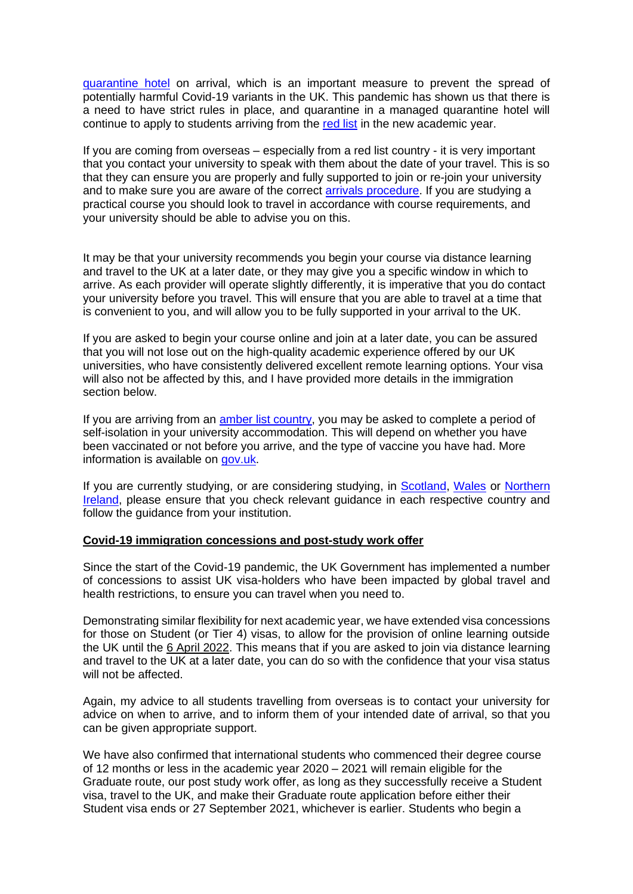[quarantine hotel](https://www.gov.uk/guidance/booking-and-staying-in-a-quarantine-hotel-when-you-arrive-in-england) on arrival, which is an important measure to prevent the spread of potentially harmful Covid-19 variants in the UK. This pandemic has shown us that there is a need to have strict rules in place, and quarantine in a managed quarantine hotel will continue to apply to students arriving from the [red list](https://www.gov.uk/guidance/red-amber-and-green-list-rules-for-entering-england) in the new academic year.

If you are coming from overseas – especially from a red list country - it is very important that you contact your university to speak with them about the date of your travel. This is so that they can ensure you are properly and fully supported to join or re-join your university and to make sure you are aware of the correct **arrivals procedure**. If you are studying a practical course you should look to travel in accordance with course requirements, and your university should be able to advise you on this.

It may be that your university recommends you begin your course via distance learning and travel to the UK at a later date, or they may give you a specific window in which to arrive. As each provider will operate slightly differently, it is imperative that you do contact your university before you travel. This will ensure that you are able to travel at a time that is convenient to you, and will allow you to be fully supported in your arrival to the UK.

If you are asked to begin your course online and join at a later date, you can be assured that you will not lose out on the high-quality academic experience offered by our UK universities, who have consistently delivered excellent remote learning options. Your visa will also not be affected by this, and I have provided more details in the immigration section below.

If you are arriving from an [amber list country,](https://www.gov.uk/guidance/red-amber-and-green-list-rules-for-entering-england) you may be asked to complete a period of self-isolation in your university accommodation. This will depend on whether you have been vaccinated or not before you arrive, and the type of vaccine you have had. More information is available on [gov.uk.](https://www.gov.uk/guidance/how-to-quarantine-when-you-arrive-in-england#rules-if-youre-fully-vaccinated)

If you are currently studying, or are considering studying, in **Scotland**, [Wales](https://gov.wales/) or Northern [Ireland,](https://www.northernireland.gov.uk/) please ensure that you check relevant guidance in each respective country and follow the guidance from your institution.

## **Covid-19 immigration concessions and post-study work offer**

Since the start of the Covid-19 pandemic, the UK Government has implemented a number of concessions to assist UK visa-holders who have been impacted by global travel and health restrictions, to ensure you can travel when you need to.

Demonstrating similar flexibility for next academic year, we have extended visa concessions for those on Student (or Tier 4) visas, to allow for the provision of online learning outside the UK until the 6 April 2022. This means that if you are asked to join via distance learning and travel to the UK at a later date, you can do so with the confidence that your visa status will not be affected.

Again, my advice to all students travelling from overseas is to contact your university for advice on when to arrive, and to inform them of your intended date of arrival, so that you can be given appropriate support.

We have also confirmed that international students who commenced their degree course of 12 months or less in the academic year 2020 – 2021 will remain eligible for the Graduate route, our post study work offer, as long as they successfully receive a Student visa, travel to the UK, and make their Graduate route application before either their Student visa ends or 27 September 2021, whichever is earlier. Students who begin a